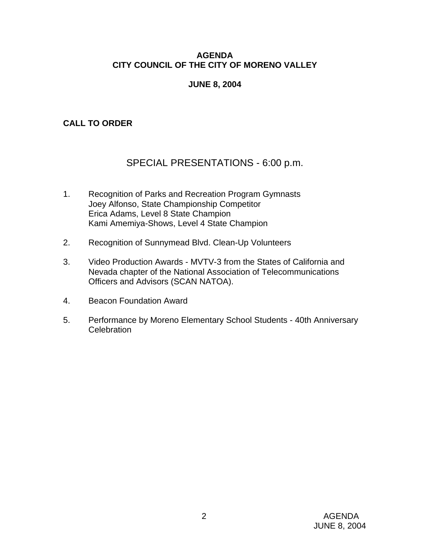## **AGENDA CITY COUNCIL OF THE CITY OF MORENO VALLEY**

## **JUNE 8, 2004**

## **CALL TO ORDER**

# SPECIAL PRESENTATIONS - 6:00 p.m.

- 1. Recognition of Parks and Recreation Program Gymnasts Joey Alfonso, State Championship Competitor Erica Adams, Level 8 State Champion Kami Amemiya-Shows, Level 4 State Champion
- 2. Recognition of Sunnymead Blvd. Clean-Up Volunteers
- 3. Video Production Awards MVTV-3 from the States of California and Nevada chapter of the National Association of Telecommunications Officers and Advisors (SCAN NATOA).
- 4. Beacon Foundation Award
- 5. Performance by Moreno Elementary School Students 40th Anniversary **Celebration**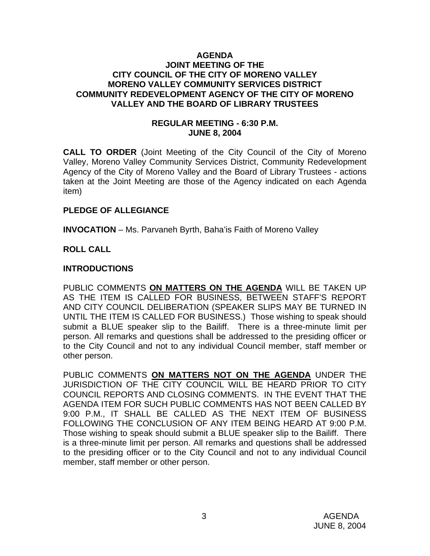#### **AGENDA JOINT MEETING OF THE CITY COUNCIL OF THE CITY OF MORENO VALLEY MORENO VALLEY COMMUNITY SERVICES DISTRICT COMMUNITY REDEVELOPMENT AGENCY OF THE CITY OF MORENO VALLEY AND THE BOARD OF LIBRARY TRUSTEES**

### **REGULAR MEETING - 6:30 P.M. JUNE 8, 2004**

**CALL TO ORDER** (Joint Meeting of the City Council of the City of Moreno Valley, Moreno Valley Community Services District, Community Redevelopment Agency of the City of Moreno Valley and the Board of Library Trustees - actions taken at the Joint Meeting are those of the Agency indicated on each Agenda item)

### **PLEDGE OF ALLEGIANCE**

**INVOCATION** – Ms. Parvaneh Byrth, Baha'is Faith of Moreno Valley

## **ROLL CALL**

## **INTRODUCTIONS**

PUBLIC COMMENTS **ON MATTERS ON THE AGENDA** WILL BE TAKEN UP AS THE ITEM IS CALLED FOR BUSINESS, BETWEEN STAFF'S REPORT AND CITY COUNCIL DELIBERATION (SPEAKER SLIPS MAY BE TURNED IN UNTIL THE ITEM IS CALLED FOR BUSINESS.) Those wishing to speak should submit a BLUE speaker slip to the Bailiff. There is a three-minute limit per person. All remarks and questions shall be addressed to the presiding officer or to the City Council and not to any individual Council member, staff member or other person.

PUBLIC COMMENTS **ON MATTERS NOT ON THE AGENDA** UNDER THE JURISDICTION OF THE CITY COUNCIL WILL BE HEARD PRIOR TO CITY COUNCIL REPORTS AND CLOSING COMMENTS. IN THE EVENT THAT THE AGENDA ITEM FOR SUCH PUBLIC COMMENTS HAS NOT BEEN CALLED BY 9:00 P.M., IT SHALL BE CALLED AS THE NEXT ITEM OF BUSINESS FOLLOWING THE CONCLUSION OF ANY ITEM BEING HEARD AT 9:00 P.M. Those wishing to speak should submit a BLUE speaker slip to the Bailiff. There is a three-minute limit per person. All remarks and questions shall be addressed to the presiding officer or to the City Council and not to any individual Council member, staff member or other person.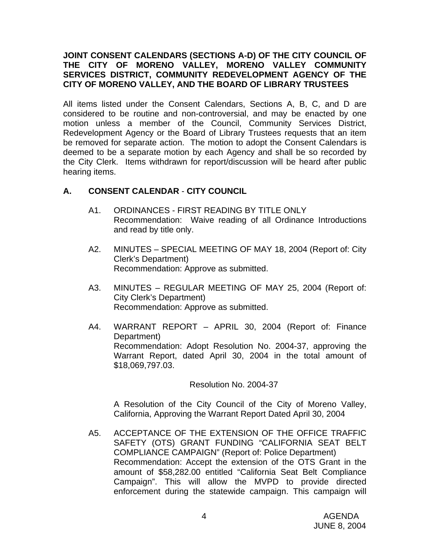### **JOINT CONSENT CALENDARS (SECTIONS A-D) OF THE CITY COUNCIL OF THE CITY OF MORENO VALLEY, MORENO VALLEY COMMUNITY SERVICES DISTRICT, COMMUNITY REDEVELOPMENT AGENCY OF THE CITY OF MORENO VALLEY, AND THE BOARD OF LIBRARY TRUSTEES**

All items listed under the Consent Calendars, Sections A, B, C, and D are considered to be routine and non-controversial, and may be enacted by one motion unless a member of the Council, Community Services District, Redevelopment Agency or the Board of Library Trustees requests that an item be removed for separate action. The motion to adopt the Consent Calendars is deemed to be a separate motion by each Agency and shall be so recorded by the City Clerk. Items withdrawn for report/discussion will be heard after public hearing items.

## **A. CONSENT CALENDAR** - **CITY COUNCIL**

- A1. ORDINANCES FIRST READING BY TITLE ONLY Recommendation: Waive reading of all Ordinance Introductions and read by title only.
- A2. MINUTES SPECIAL MEETING OF MAY 18, 2004 (Report of: City Clerk's Department) Recommendation: Approve as submitted.
- A3. MINUTES REGULAR MEETING OF MAY 25, 2004 (Report of: City Clerk's Department) Recommendation: Approve as submitted.
- A4. WARRANT REPORT APRIL 30, 2004 (Report of: Finance Department) Recommendation: Adopt Resolution No. 2004-37, approving the Warrant Report, dated April 30, 2004 in the total amount of \$18,069,797.03.

Resolution No. 2004-37

 A Resolution of the City Council of the City of Moreno Valley, California, Approving the Warrant Report Dated April 30, 2004

A5. ACCEPTANCE OF THE EXTENSION OF THE OFFICE TRAFFIC SAFETY (OTS) GRANT FUNDING "CALIFORNIA SEAT BELT COMPLIANCE CAMPAIGN" (Report of: Police Department) Recommendation: Accept the extension of the OTS Grant in the amount of \$58,282.00 entitled "California Seat Belt Compliance Campaign". This will allow the MVPD to provide directed enforcement during the statewide campaign. This campaign will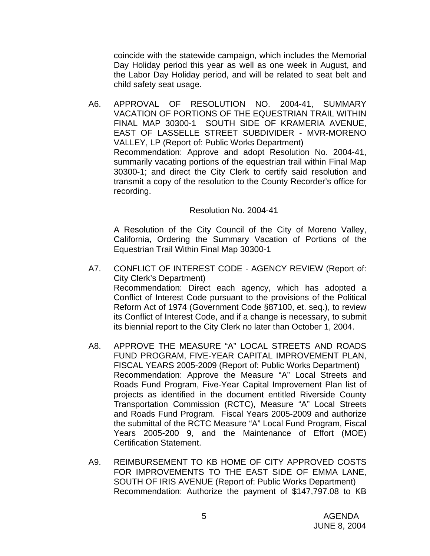coincide with the statewide campaign, which includes the Memorial Day Holiday period this year as well as one week in August, and the Labor Day Holiday period, and will be related to seat belt and child safety seat usage.

A6. APPROVAL OF RESOLUTION NO. 2004-41, SUMMARY VACATION OF PORTIONS OF THE EQUESTRIAN TRAIL WITHIN FINAL MAP 30300-1 SOUTH SIDE OF KRAMERIA AVENUE, EAST OF LASSELLE STREET SUBDIVIDER - MVR-MORENO VALLEY, LP (Report of: Public Works Department) Recommendation: Approve and adopt Resolution No. 2004-41, summarily vacating portions of the equestrian trail within Final Map 30300-1; and direct the City Clerk to certify said resolution and transmit a copy of the resolution to the County Recorder's office for recording.

#### Resolution No. 2004-41

 A Resolution of the City Council of the City of Moreno Valley, California, Ordering the Summary Vacation of Portions of the Equestrian Trail Within Final Map 30300-1

- A7. CONFLICT OF INTEREST CODE AGENCY REVIEW (Report of: City Clerk's Department) Recommendation: Direct each agency, which has adopted a Conflict of Interest Code pursuant to the provisions of the Political Reform Act of 1974 (Government Code §87100, et. seq.), to review its Conflict of Interest Code, and if a change is necessary, to submit its biennial report to the City Clerk no later than October 1, 2004.
- A8. APPROVE THE MEASURE "A" LOCAL STREETS AND ROADS FUND PROGRAM, FIVE-YEAR CAPITAL IMPROVEMENT PLAN, FISCAL YEARS 2005-2009 (Report of: Public Works Department) Recommendation: Approve the Measure "A" Local Streets and Roads Fund Program, Five-Year Capital Improvement Plan list of projects as identified in the document entitled Riverside County Transportation Commission (RCTC), Measure "A" Local Streets and Roads Fund Program. Fiscal Years 2005-2009 and authorize the submittal of the RCTC Measure "A" Local Fund Program, Fiscal Years 2005-200 9, and the Maintenance of Effort (MOE) Certification Statement.
- A9. REIMBURSEMENT TO KB HOME OF CITY APPROVED COSTS FOR IMPROVEMENTS TO THE EAST SIDE OF EMMA LANE, SOUTH OF IRIS AVENUE (Report of: Public Works Department) Recommendation: Authorize the payment of \$147,797.08 to KB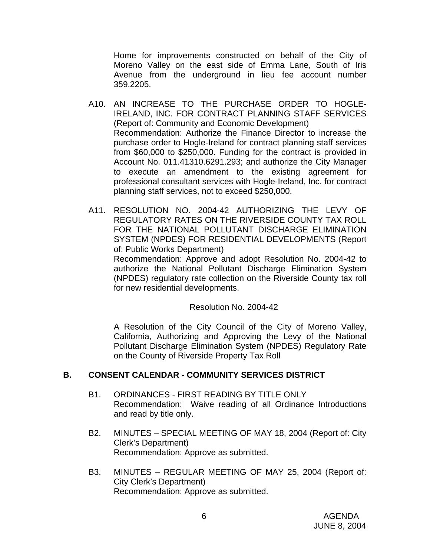Home for improvements constructed on behalf of the City of Moreno Valley on the east side of Emma Lane, South of Iris Avenue from the underground in lieu fee account number 359.2205.

- A10. AN INCREASE TO THE PURCHASE ORDER TO HOGLE-IRELAND, INC. FOR CONTRACT PLANNING STAFF SERVICES (Report of: Community and Economic Development) Recommendation: Authorize the Finance Director to increase the purchase order to Hogle-Ireland for contract planning staff services from \$60,000 to \$250,000. Funding for the contract is provided in Account No. 011.41310.6291.293; and authorize the City Manager to execute an amendment to the existing agreement for professional consultant services with Hogle-Ireland, Inc. for contract planning staff services, not to exceed \$250,000.
- A11. RESOLUTION NO. 2004-42 AUTHORIZING THE LEVY OF REGULATORY RATES ON THE RIVERSIDE COUNTY TAX ROLL FOR THE NATIONAL POLLUTANT DISCHARGE ELIMINATION SYSTEM (NPDES) FOR RESIDENTIAL DEVELOPMENTS (Report of: Public Works Department)

 Recommendation: Approve and adopt Resolution No. 2004-42 to authorize the National Pollutant Discharge Elimination System (NPDES) regulatory rate collection on the Riverside County tax roll for new residential developments.

### Resolution No. 2004-42

 A Resolution of the City Council of the City of Moreno Valley, California, Authorizing and Approving the Levy of the National Pollutant Discharge Elimination System (NPDES) Regulatory Rate on the County of Riverside Property Tax Roll

### **B. CONSENT CALENDAR** - **COMMUNITY SERVICES DISTRICT**

- B1. ORDINANCES FIRST READING BY TITLE ONLY Recommendation: Waive reading of all Ordinance Introductions and read by title only.
- B2. MINUTES SPECIAL MEETING OF MAY 18, 2004 (Report of: City Clerk's Department) Recommendation: Approve as submitted.
- B3. MINUTES REGULAR MEETING OF MAY 25, 2004 (Report of: City Clerk's Department) Recommendation: Approve as submitted.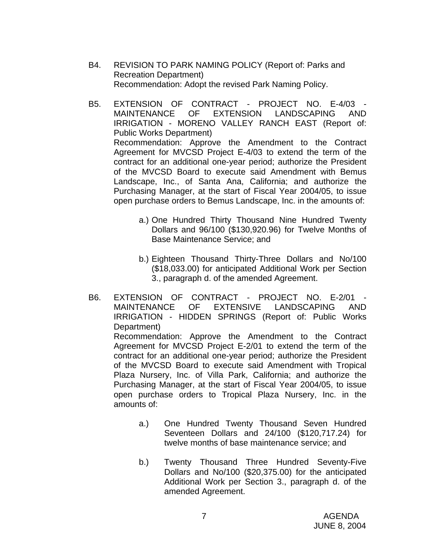- B4. REVISION TO PARK NAMING POLICY (Report of: Parks and Recreation Department) Recommendation: Adopt the revised Park Naming Policy.
- B5. EXTENSION OF CONTRACT PROJECT NO. E-4/03 MAINTENANCE OF EXTENSION LANDSCAPING AND IRRIGATION - MORENO VALLEY RANCH EAST (Report of: Public Works Department) Recommendation: Approve the Amendment to the Contract Agreement for MVCSD Project E-4/03 to extend the term of the contract for an additional one-year period; authorize the President of the MVCSD Board to execute said Amendment with Bemus Landscape, Inc., of Santa Ana, California; and authorize the Purchasing Manager, at the start of Fiscal Year 2004/05, to issue open purchase orders to Bemus Landscape, Inc. in the amounts of:
	- a.) One Hundred Thirty Thousand Nine Hundred Twenty Dollars and 96/100 (\$130,920.96) for Twelve Months of Base Maintenance Service; and
	- b.) Eighteen Thousand Thirty-Three Dollars and No/100 (\$18,033.00) for anticipated Additional Work per Section 3., paragraph d. of the amended Agreement.
- B6. EXTENSION OF CONTRACT PROJECT NO. E-2/01 MAINTENANCE OF EXTENSIVE LANDSCAPING AND IRRIGATION - HIDDEN SPRINGS (Report of: Public Works Department) Recommendation: Approve the Amendment to the Contract Agreement for MVCSD Project E-2/01 to extend the term of the contract for an additional one-year period; authorize the President of the MVCSD Board to execute said Amendment with Tropical Plaza Nursery, Inc. of Villa Park, California; and authorize the Purchasing Manager, at the start of Fiscal Year 2004/05, to issue open purchase orders to Tropical Plaza Nursery, Inc. in the amounts of:
	- a.) One Hundred Twenty Thousand Seven Hundred Seventeen Dollars and 24/100 (\$120,717.24) for twelve months of base maintenance service; and
	- b.) Twenty Thousand Three Hundred Seventy-Five Dollars and No/100 (\$20,375.00) for the anticipated Additional Work per Section 3., paragraph d. of the amended Agreement.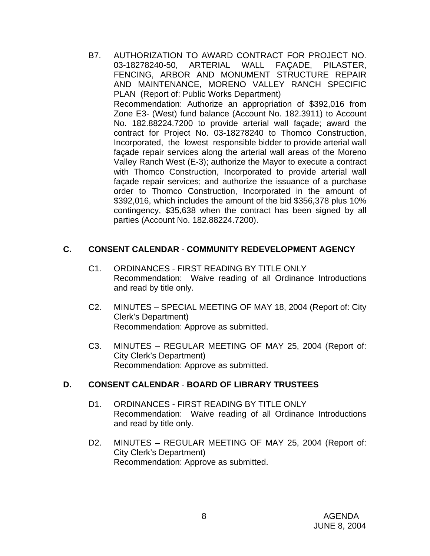B7. AUTHORIZATION TO AWARD CONTRACT FOR PROJECT NO. 03-18278240-50, ARTERIAL WALL FAÇADE, PILASTER, FENCING, ARBOR AND MONUMENT STRUCTURE REPAIR AND MAINTENANCE, MORENO VALLEY RANCH SPECIFIC PLAN (Report of: Public Works Department) Recommendation: Authorize an appropriation of \$392,016 from Zone E3- (West) fund balance (Account No. 182.3911) to Account No. 182.88224.7200 to provide arterial wall façade; award the contract for Project No. 03-18278240 to Thomco Construction, Incorporated, the lowest responsible bidder to provide arterial wall façade repair services along the arterial wall areas of the Moreno Valley Ranch West (E-3); authorize the Mayor to execute a contract with Thomco Construction, Incorporated to provide arterial wall façade repair services; and authorize the issuance of a purchase order to Thomco Construction, Incorporated in the amount of \$392,016, which includes the amount of the bid \$356,378 plus 10% contingency, \$35,638 when the contract has been signed by all parties (Account No. 182.88224.7200).

## **C. CONSENT CALENDAR** - **COMMUNITY REDEVELOPMENT AGENCY**

- C1. ORDINANCES FIRST READING BY TITLE ONLY Recommendation: Waive reading of all Ordinance Introductions and read by title only.
- C2. MINUTES SPECIAL MEETING OF MAY 18, 2004 (Report of: City Clerk's Department) Recommendation: Approve as submitted.
- C3. MINUTES REGULAR MEETING OF MAY 25, 2004 (Report of: City Clerk's Department) Recommendation: Approve as submitted.

### **D. CONSENT CALENDAR** - **BOARD OF LIBRARY TRUSTEES**

- D1. ORDINANCES FIRST READING BY TITLE ONLY Recommendation: Waive reading of all Ordinance Introductions and read by title only.
- D2. MINUTES REGULAR MEETING OF MAY 25, 2004 (Report of: City Clerk's Department) Recommendation: Approve as submitted.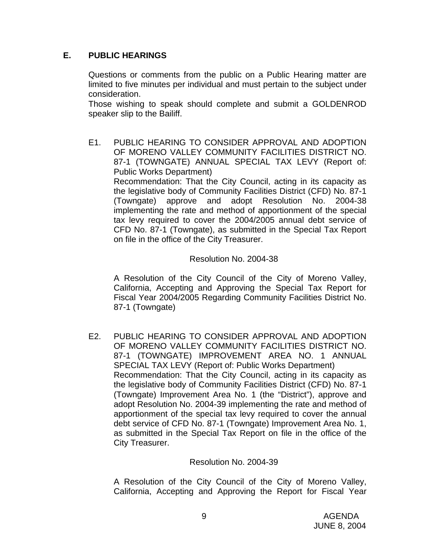## **E. PUBLIC HEARINGS**

Questions or comments from the public on a Public Hearing matter are limited to five minutes per individual and must pertain to the subject under consideration.

 Those wishing to speak should complete and submit a GOLDENROD speaker slip to the Bailiff.

E1. PUBLIC HEARING TO CONSIDER APPROVAL AND ADOPTION OF MORENO VALLEY COMMUNITY FACILITIES DISTRICT NO. 87-1 (TOWNGATE) ANNUAL SPECIAL TAX LEVY (Report of: Public Works Department) Recommendation: That the City Council, acting in its capacity as the legislative body of Community Facilities District (CFD) No. 87-1 (Towngate) approve and adopt Resolution No. 2004-38 implementing the rate and method of apportionment of the special tax levy required to cover the 2004/2005 annual debt service of CFD No. 87-1 (Towngate), as submitted in the Special Tax Report on file in the office of the City Treasurer.

### Resolution No. 2004-38

 A Resolution of the City Council of the City of Moreno Valley, California, Accepting and Approving the Special Tax Report for Fiscal Year 2004/2005 Regarding Community Facilities District No. 87-1 (Towngate)

E2. PUBLIC HEARING TO CONSIDER APPROVAL AND ADOPTION OF MORENO VALLEY COMMUNITY FACILITIES DISTRICT NO. 87-1 (TOWNGATE) IMPROVEMENT AREA NO. 1 ANNUAL SPECIAL TAX LEVY (Report of: Public Works Department) Recommendation: That the City Council, acting in its capacity as the legislative body of Community Facilities District (CFD) No. 87-1 (Towngate) Improvement Area No. 1 (the "District"), approve and adopt Resolution No. 2004-39 implementing the rate and method of apportionment of the special tax levy required to cover the annual debt service of CFD No. 87-1 (Towngate) Improvement Area No. 1, as submitted in the Special Tax Report on file in the office of the City Treasurer.

#### Resolution No. 2004-39

 A Resolution of the City Council of the City of Moreno Valley, California, Accepting and Approving the Report for Fiscal Year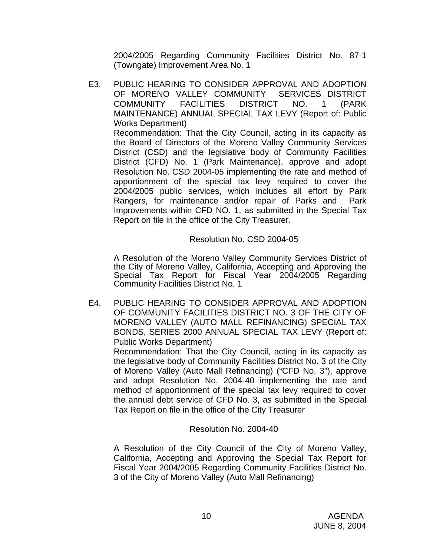2004/2005 Regarding Community Facilities District No. 87-1 (Towngate) Improvement Area No. 1

E3. PUBLIC HEARING TO CONSIDER APPROVAL AND ADOPTION OF MORENO VALLEY COMMUNITY SERVICES DISTRICT COMMUNITY FACILITIES DISTRICT NO. 1 (PARK MAINTENANCE) ANNUAL SPECIAL TAX LEVY (Report of: Public Works Department) Recommendation: That the City Council, acting in its capacity as the Board of Directors of the Moreno Valley Community Services District (CSD) and the legislative body of Community Facilities District (CFD) No. 1 (Park Maintenance), approve and adopt Resolution No. CSD 2004-05 implementing the rate and method of apportionment of the special tax levy required to cover the 2004/2005 public services, which includes all effort by Park Rangers, for maintenance and/or repair of Parks and Park Improvements within CFD NO. 1, as submitted in the Special Tax Report on file in the office of the City Treasurer.

## Resolution No. CSD 2004-05

 A Resolution of the Moreno Valley Community Services District of the City of Moreno Valley, California, Accepting and Approving the Special Tax Report for Fiscal Year 2004/2005 Regarding Community Facilities District No. 1

E4. PUBLIC HEARING TO CONSIDER APPROVAL AND ADOPTION OF COMMUNITY FACILITIES DISTRICT NO. 3 OF THE CITY OF MORENO VALLEY (AUTO MALL REFINANCING) SPECIAL TAX BONDS, SERIES 2000 ANNUAL SPECIAL TAX LEVY (Report of: Public Works Department)

 Recommendation: That the City Council, acting in its capacity as the legislative body of Community Facilities District No. 3 of the City of Moreno Valley (Auto Mall Refinancing) ("CFD No. 3"), approve and adopt Resolution No. 2004-40 implementing the rate and method of apportionment of the special tax levy required to cover the annual debt service of CFD No. 3, as submitted in the Special Tax Report on file in the office of the City Treasurer

### Resolution No. 2004-40

 A Resolution of the City Council of the City of Moreno Valley, California, Accepting and Approving the Special Tax Report for Fiscal Year 2004/2005 Regarding Community Facilities District No. 3 of the City of Moreno Valley (Auto Mall Refinancing)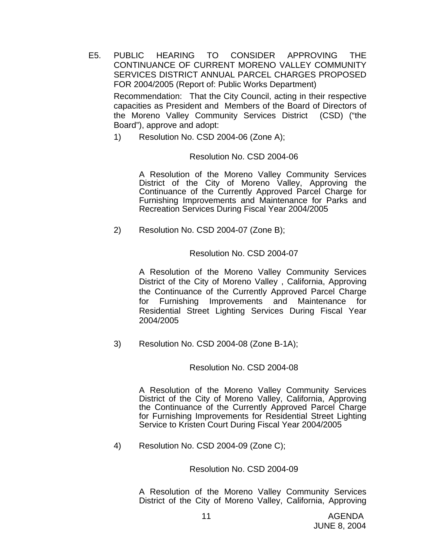- E5. PUBLIC HEARING TO CONSIDER APPROVING THE CONTINUANCE OF CURRENT MORENO VALLEY COMMUNITY SERVICES DISTRICT ANNUAL PARCEL CHARGES PROPOSED FOR 2004/2005 (Report of: Public Works Department) Recommendation: That the City Council, acting in their respective capacities as President and Members of the Board of Directors of the Moreno Valley Community Services District (CSD) ("the
	- 1) Resolution No. CSD 2004-06 (Zone A);

Board"), approve and adopt:

#### Resolution No. CSD 2004-06

A Resolution of the Moreno Valley Community Services District of the City of Moreno Valley, Approving the Continuance of the Currently Approved Parcel Charge for Furnishing Improvements and Maintenance for Parks and Recreation Services During Fiscal Year 2004/2005

2) Resolution No. CSD 2004-07 (Zone B);

### Resolution No. CSD 2004-07

 A Resolution of the Moreno Valley Community Services District of the City of Moreno Valley , California, Approving the Continuance of the Currently Approved Parcel Charge for Furnishing Improvements and Maintenance for Residential Street Lighting Services During Fiscal Year 2004/2005

3) Resolution No. CSD 2004-08 (Zone B-1A);

#### Resolution No. CSD 2004-08

A Resolution of the Moreno Valley Community Services District of the City of Moreno Valley, California, Approving the Continuance of the Currently Approved Parcel Charge for Furnishing Improvements for Residential Street Lighting Service to Kristen Court During Fiscal Year 2004/2005

4) Resolution No. CSD 2004-09 (Zone C);

#### Resolution No. CSD 2004-09

A Resolution of the Moreno Valley Community Services District of the City of Moreno Valley, California, Approving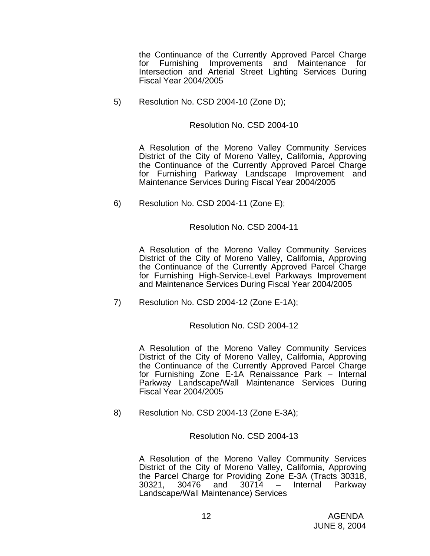the Continuance of the Currently Approved Parcel Charge for Furnishing Improvements and Maintenance for Intersection and Arterial Street Lighting Services During Fiscal Year 2004/2005

5) Resolution No. CSD 2004-10 (Zone D);

#### Resolution No. CSD 2004-10

A Resolution of the Moreno Valley Community Services District of the City of Moreno Valley, California, Approving the Continuance of the Currently Approved Parcel Charge for Furnishing Parkway Landscape Improvement and Maintenance Services During Fiscal Year 2004/2005

6) Resolution No. CSD 2004-11 (Zone E);

#### Resolution No. CSD 2004-11

A Resolution of the Moreno Valley Community Services District of the City of Moreno Valley, California, Approving the Continuance of the Currently Approved Parcel Charge for Furnishing High-Service-Level Parkways Improvement and Maintenance Services During Fiscal Year 2004/2005

7) Resolution No. CSD 2004-12 (Zone E-1A);

### Resolution No. CSD 2004-12

A Resolution of the Moreno Valley Community Services District of the City of Moreno Valley, California, Approving the Continuance of the Currently Approved Parcel Charge for Furnishing Zone E-1A Renaissance Park – Internal Parkway Landscape/Wall Maintenance Services During Fiscal Year 2004/2005

8) Resolution No. CSD 2004-13 (Zone E-3A);

Resolution No. CSD 2004-13

A Resolution of the Moreno Valley Community Services District of the City of Moreno Valley, California, Approving the Parcel Charge for Providing Zone E-3A (Tracts 30318, 30321, 30476 and 30714 – Internal Parkway Landscape/Wall Maintenance) Services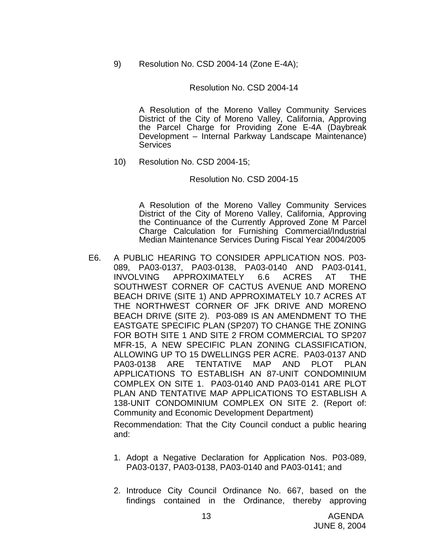9) Resolution No. CSD 2004-14 (Zone E-4A);

#### Resolution No. CSD 2004-14

A Resolution of the Moreno Valley Community Services District of the City of Moreno Valley, California, Approving the Parcel Charge for Providing Zone E-4A (Daybreak Development – Internal Parkway Landscape Maintenance) **Services** 

10) Resolution No. CSD 2004-15;

#### Resolution No. CSD 2004-15

A Resolution of the Moreno Valley Community Services District of the City of Moreno Valley, California, Approving the Continuance of the Currently Approved Zone M Parcel Charge Calculation for Furnishing Commercial/Industrial Median Maintenance Services During Fiscal Year 2004/2005

E6. A PUBLIC HEARING TO CONSIDER APPLICATION NOS. P03- 089, PA03-0137, PA03-0138, PA03-0140 AND PA03-0141, INVOLVING APPROXIMATELY 6.6 ACRES AT THE SOUTHWEST CORNER OF CACTUS AVENUE AND MORENO BEACH DRIVE (SITE 1) AND APPROXIMATELY 10.7 ACRES AT THE NORTHWEST CORNER OF JFK DRIVE AND MORENO BEACH DRIVE (SITE 2). P03-089 IS AN AMENDMENT TO THE EASTGATE SPECIFIC PLAN (SP207) TO CHANGE THE ZONING FOR BOTH SITE 1 AND SITE 2 FROM COMMERCIAL TO SP207 MFR-15, A NEW SPECIFIC PLAN ZONING CLASSIFICATION, ALLOWING UP TO 15 DWELLINGS PER ACRE. PA03-0137 AND PA03-0138 ARE TENTATIVE MAP AND PLOT PLAN APPLICATIONS TO ESTABLISH AN 87-UNIT CONDOMINIUM COMPLEX ON SITE 1. PA03-0140 AND PA03-0141 ARE PLOT PLAN AND TENTATIVE MAP APPLICATIONS TO ESTABLISH A 138-UNIT CONDOMINIUM COMPLEX ON SITE 2. (Report of: Community and Economic Development Department)

 Recommendation: That the City Council conduct a public hearing and:

- 1. Adopt a Negative Declaration for Application Nos. P03-089, PA03-0137, PA03-0138, PA03-0140 and PA03-0141; and
- 2. Introduce City Council Ordinance No. 667, based on the findings contained in the Ordinance, thereby approving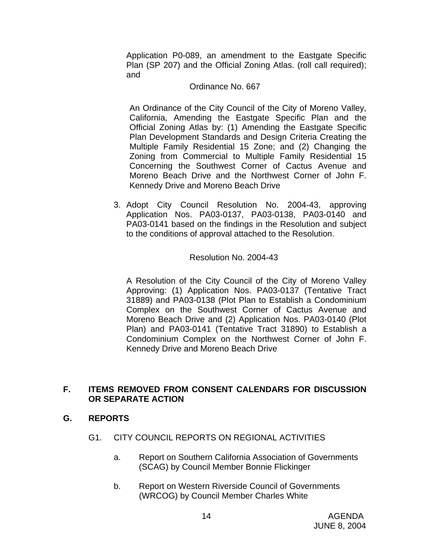Application P0-089, an amendment to the Eastgate Specific Plan (SP 207) and the Official Zoning Atlas. (roll call required); and

#### Ordinance No. 667

 An Ordinance of the City Council of the City of Moreno Valley, California, Amending the Eastgate Specific Plan and the Official Zoning Atlas by: (1) Amending the Eastgate Specific Plan Development Standards and Design Criteria Creating the Multiple Family Residential 15 Zone; and (2) Changing the Zoning from Commercial to Multiple Family Residential 15 Concerning the Southwest Corner of Cactus Avenue and Moreno Beach Drive and the Northwest Corner of John F. Kennedy Drive and Moreno Beach Drive

3. Adopt City Council Resolution No. 2004-43, approving Application Nos. PA03-0137, PA03-0138, PA03-0140 and PA03-0141 based on the findings in the Resolution and subject to the conditions of approval attached to the Resolution.

### Resolution No. 2004-43

A Resolution of the City Council of the City of Moreno Valley Approving: (1) Application Nos. PA03-0137 (Tentative Tract 31889) and PA03-0138 (Plot Plan to Establish a Condominium Complex on the Southwest Corner of Cactus Avenue and Moreno Beach Drive and (2) Application Nos. PA03-0140 (Plot Plan) and PA03-0141 (Tentative Tract 31890) to Establish a Condominium Complex on the Northwest Corner of John F. Kennedy Drive and Moreno Beach Drive

## **F. ITEMS REMOVED FROM CONSENT CALENDARS FOR DISCUSSION OR SEPARATE ACTION**

### **G. REPORTS**

- G1. CITY COUNCIL REPORTS ON REGIONAL ACTIVITIES
	- a. Report on Southern California Association of Governments (SCAG) by Council Member Bonnie Flickinger
	- b. Report on Western Riverside Council of Governments (WRCOG) by Council Member Charles White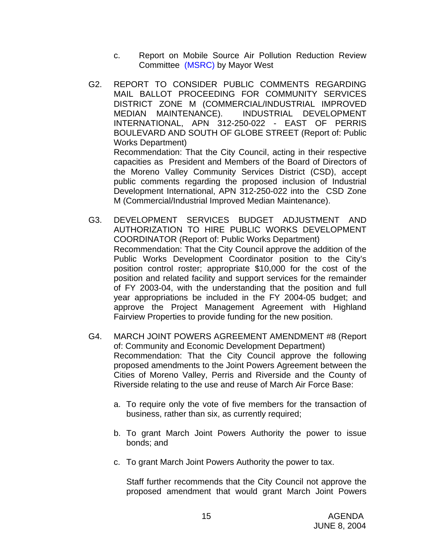- c. Report on Mobile Source Air Pollution Reduction Review Committee (MSRC) by Mayor West
- G2. REPORT TO CONSIDER PUBLIC COMMENTS REGARDING MAIL BALLOT PROCEEDING FOR COMMUNITY SERVICES DISTRICT ZONE M (COMMERCIAL/INDUSTRIAL IMPROVED MEDIAN MAINTENANCE). INDUSTRIAL DEVELOPMENT INTERNATIONAL, APN 312-250-022 - EAST OF PERRIS BOULEVARD AND SOUTH OF GLOBE STREET (Report of: Public Works Department) Recommendation: That the City Council, acting in their respective capacities as President and Members of the Board of Directors of the Moreno Valley Community Services District (CSD), accept public comments regarding the proposed inclusion of Industrial Development International, APN 312-250-022 into the CSD Zone M (Commercial/Industrial Improved Median Maintenance).
- G3. DEVELOPMENT SERVICES BUDGET ADJUSTMENT AND AUTHORIZATION TO HIRE PUBLIC WORKS DEVELOPMENT COORDINATOR (Report of: Public Works Department) Recommendation: That the City Council approve the addition of the Public Works Development Coordinator position to the City's position control roster; appropriate \$10,000 for the cost of the position and related facility and support services for the remainder of FY 2003-04, with the understanding that the position and full year appropriations be included in the FY 2004-05 budget; and approve the Project Management Agreement with Highland Fairview Properties to provide funding for the new position.
- G4. MARCH JOINT POWERS AGREEMENT AMENDMENT #8 (Report of: Community and Economic Development Department) Recommendation: That the City Council approve the following proposed amendments to the Joint Powers Agreement between the Cities of Moreno Valley, Perris and Riverside and the County of Riverside relating to the use and reuse of March Air Force Base:
	- a. To require only the vote of five members for the transaction of business, rather than six, as currently required;
	- b. To grant March Joint Powers Authority the power to issue bonds; and
	- c. To grant March Joint Powers Authority the power to tax.

Staff further recommends that the City Council not approve the proposed amendment that would grant March Joint Powers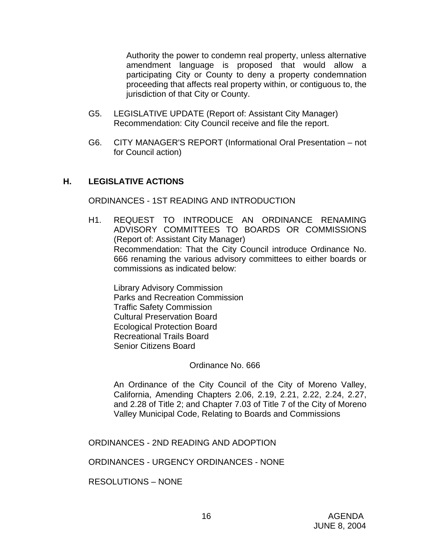Authority the power to condemn real property, unless alternative amendment language is proposed that would allow a participating City or County to deny a property condemnation proceeding that affects real property within, or contiguous to, the jurisdiction of that City or County.

- G5. LEGISLATIVE UPDATE (Report of: Assistant City Manager) Recommendation: City Council receive and file the report.
- G6. CITY MANAGER'S REPORT (Informational Oral Presentation not for Council action)

## **H. LEGISLATIVE ACTIONS**

ORDINANCES - 1ST READING AND INTRODUCTION

H1. REQUEST TO INTRODUCE AN ORDINANCE RENAMING ADVISORY COMMITTEES TO BOARDS OR COMMISSIONS (Report of: Assistant City Manager) Recommendation: That the City Council introduce Ordinance No. 666 renaming the various advisory committees to either boards or commissions as indicated below:

 Library Advisory Commission Parks and Recreation Commission Traffic Safety Commission Cultural Preservation Board Ecological Protection Board Recreational Trails Board Senior Citizens Board

Ordinance No. 666

 An Ordinance of the City Council of the City of Moreno Valley, California, Amending Chapters 2.06, 2.19, 2.21, 2.22, 2.24, 2.27, and 2.28 of Title 2; and Chapter 7.03 of Title 7 of the City of Moreno Valley Municipal Code, Relating to Boards and Commissions

ORDINANCES - 2ND READING AND ADOPTION

ORDINANCES - URGENCY ORDINANCES - NONE

RESOLUTIONS – NONE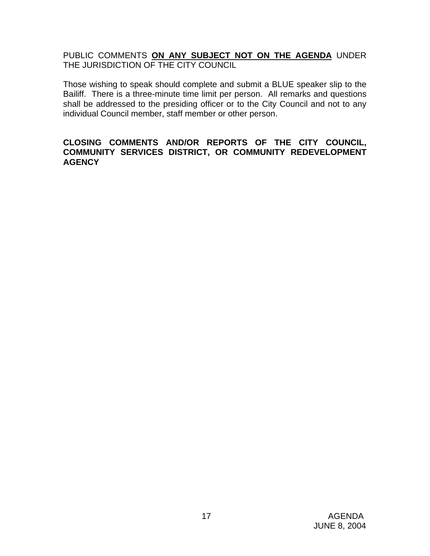PUBLIC COMMENTS **ON ANY SUBJECT NOT ON THE AGENDA** UNDER THE JURISDICTION OF THE CITY COUNCIL

Those wishing to speak should complete and submit a BLUE speaker slip to the Bailiff. There is a three-minute time limit per person. All remarks and questions shall be addressed to the presiding officer or to the City Council and not to any individual Council member, staff member or other person.

### **CLOSING COMMENTS AND/OR REPORTS OF THE CITY COUNCIL, COMMUNITY SERVICES DISTRICT, OR COMMUNITY REDEVELOPMENT AGENCY**